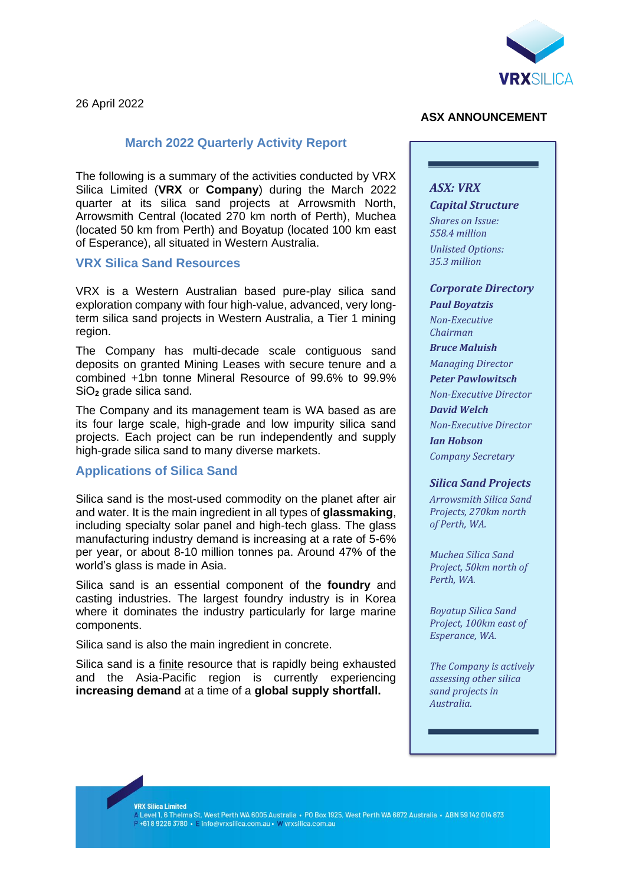

26 April 2022

## **March 2022 Quarterly Activity Report**

The following is a summary of the activities conducted by VRX Silica Limited (**VRX** or **Company**) during the March 2022 quarter at its silica sand projects at Arrowsmith North, Arrowsmith Central (located 270 km north of Perth), Muchea (located 50 km from Perth) and Boyatup (located 100 km east of Esperance), all situated in Western Australia.

#### **VRX Silica Sand Resources**

VRX is a Western Australian based pure-play silica sand exploration company with four high-value, advanced, very longterm silica sand projects in Western Australia, a Tier 1 mining region.

The Company has multi-decade scale contiguous sand deposits on granted Mining Leases with secure tenure and a combined +1bn tonne Mineral Resource of 99.6% to 99.9% SiO<sub>2</sub> grade silica sand.

The Company and its management team is WA based as are its four large scale, high-grade and low impurity silica sand projects. Each project can be run independently and supply high-grade silica sand to many diverse markets.

## **Applications of Silica Sand**

Silica sand is the most-used commodity on the planet after air and water. It is the main ingredient in all types of **glassmaking**, including specialty solar panel and high-tech glass. The glass manufacturing industry demand is increasing at a rate of 5-6% per year, or about 8-10 million tonnes pa. Around 47% of the world's glass is made in Asia.

Silica sand is an essential component of the **foundry** and casting industries. The largest foundry industry is in Korea where it dominates the industry particularly for large marine components.

Silica sand is also the main ingredient in concrete.

Silica sand is a finite resource that is rapidly being exhausted and the Asia-Pacific region is currently experiencing **increasing demand** at a time of a **global supply shortfall.**

#### **ASX ANNOUNCEMENT**

#### *ASX: VRX*

*Capital Structure*

*Shares on Issue: 558.4 million Unlisted Options: 35.3 million*

#### *Corporate Directory*

*Paul Boyatzis Non-Executive Chairman*

*Bruce Maluish*

*Managing Director Peter Pawlowitsch*

*Non-Executive Director David Welch Non-Executive Director*

*Ian Hobson Company Secretary*

#### *Silica Sand Projects*

*Arrowsmith Silica Sand Projects, 270km north of Perth, WA.*

*Muchea Silica Sand Project, 50km north of Perth, WA.*

*Boyatup Silica Sand Project, 100km east of Esperance, WA.*

*The Company is actively assessing other silica sand projects in Australia.*

**VRX Silica Limited** 

-na ciliou Ellincu<br>A Level 1, 6 Thelma St, West Perth WA 6005 Australia • PO Box 1925, West Perth WA 6872 Australia • ABN 59 142 014 873 +61892263780 · Einfo@vrxsilica.com.au · W vrxsilica.com.au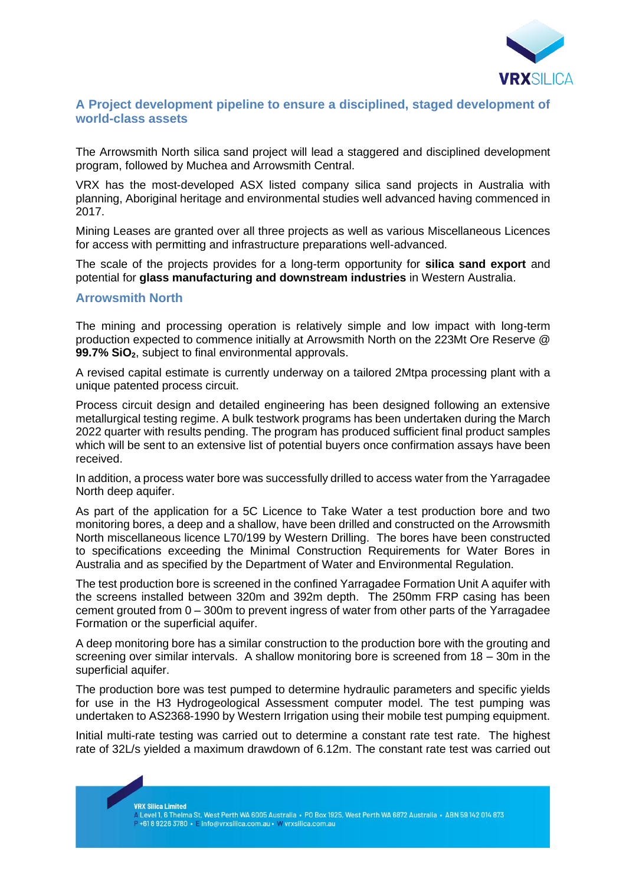

## **A Project development pipeline to ensure a disciplined, staged development of world-class assets**

The Arrowsmith North silica sand project will lead a staggered and disciplined development program, followed by Muchea and Arrowsmith Central.

VRX has the most-developed ASX listed company silica sand projects in Australia with planning, Aboriginal heritage and environmental studies well advanced having commenced in 2017.

Mining Leases are granted over all three projects as well as various Miscellaneous Licences for access with permitting and infrastructure preparations well-advanced.

The scale of the projects provides for a long-term opportunity for **silica sand export** and potential for **glass manufacturing and downstream industries** in Western Australia.

#### **Arrowsmith North**

The mining and processing operation is relatively simple and low impact with long-term production expected to commence initially at Arrowsmith North on the 223Mt Ore Reserve @ **99.7% SiO2**, subject to final environmental approvals.

A revised capital estimate is currently underway on a tailored 2Mtpa processing plant with a unique patented process circuit.

Process circuit design and detailed engineering has been designed following an extensive metallurgical testing regime. A bulk testwork programs has been undertaken during the March 2022 quarter with results pending. The program has produced sufficient final product samples which will be sent to an extensive list of potential buyers once confirmation assays have been received.

In addition, a process water bore was successfully drilled to access water from the Yarragadee North deep aquifer.

As part of the application for a 5C Licence to Take Water a test production bore and two monitoring bores, a deep and a shallow, have been drilled and constructed on the Arrowsmith North miscellaneous licence L70/199 by Western Drilling. The bores have been constructed to specifications exceeding the Minimal Construction Requirements for Water Bores in Australia and as specified by the Department of Water and Environmental Regulation.

The test production bore is screened in the confined Yarragadee Formation Unit A aquifer with the screens installed between 320m and 392m depth. The 250mm FRP casing has been cement grouted from 0 – 300m to prevent ingress of water from other parts of the Yarragadee Formation or the superficial aquifer.

A deep monitoring bore has a similar construction to the production bore with the grouting and screening over similar intervals. A shallow monitoring bore is screened from 18 – 30m in the superficial aquifer.

The production bore was test pumped to determine hydraulic parameters and specific yields for use in the H3 Hydrogeological Assessment computer model. The test pumping was undertaken to AS2368-1990 by Western Irrigation using their mobile test pumping equipment.

Initial multi-rate testing was carried out to determine a constant rate test rate. The highest rate of 32L/s yielded a maximum drawdown of 6.12m. The constant rate test was carried out

**VRX Silica Limited** 

461892263780 • E info@vrxsilica.com.au • W vrxsilica.com.au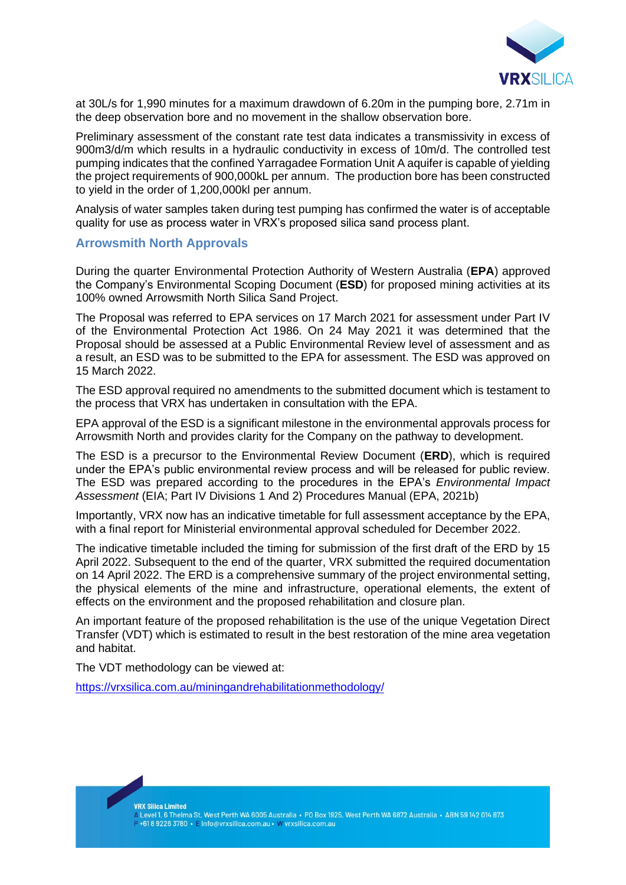

at 30L/s for 1,990 minutes for a maximum drawdown of 6.20m in the pumping bore, 2.71m in the deep observation bore and no movement in the shallow observation bore.

Preliminary assessment of the constant rate test data indicates a transmissivity in excess of 900m3/d/m which results in a hydraulic conductivity in excess of 10m/d. The controlled test pumping indicates that the confined Yarragadee Formation Unit A aquifer is capable of yielding the project requirements of 900,000kL per annum. The production bore has been constructed to yield in the order of 1,200,000kl per annum.

Analysis of water samples taken during test pumping has confirmed the water is of acceptable quality for use as process water in VRX's proposed silica sand process plant.

#### **Arrowsmith North Approvals**

During the quarter Environmental Protection Authority of Western Australia (**EPA**) approved the Company's Environmental Scoping Document (**ESD**) for proposed mining activities at its 100% owned Arrowsmith North Silica Sand Project.

The Proposal was referred to EPA services on 17 March 2021 for assessment under Part IV of the Environmental Protection Act 1986. On 24 May 2021 it was determined that the Proposal should be assessed at a Public Environmental Review level of assessment and as a result, an ESD was to be submitted to the EPA for assessment. The ESD was approved on 15 March 2022.

The ESD approval required no amendments to the submitted document which is testament to the process that VRX has undertaken in consultation with the EPA.

EPA approval of the ESD is a significant milestone in the environmental approvals process for Arrowsmith North and provides clarity for the Company on the pathway to development.

The ESD is a precursor to the Environmental Review Document (**ERD**), which is required under the EPA's public environmental review process and will be released for public review. The ESD was prepared according to the procedures in the EPA's *Environmental Impact Assessment* (EIA; Part IV Divisions 1 And 2) Procedures Manual (EPA, 2021b)

Importantly, VRX now has an indicative timetable for full assessment acceptance by the EPA, with a final report for Ministerial environmental approval scheduled for December 2022.

The indicative timetable included the timing for submission of the first draft of the ERD by 15 April 2022. Subsequent to the end of the quarter, VRX submitted the required documentation on 14 April 2022. The ERD is a comprehensive summary of the project environmental setting, the physical elements of the mine and infrastructure, operational elements, the extent of effects on the environment and the proposed rehabilitation and closure plan.

An important feature of the proposed rehabilitation is the use of the unique Vegetation Direct Transfer (VDT) which is estimated to result in the best restoration of the mine area vegetation and habitat.

The VDT methodology can be viewed at:

<https://vrxsilica.com.au/miningandrehabilitationmethodology/>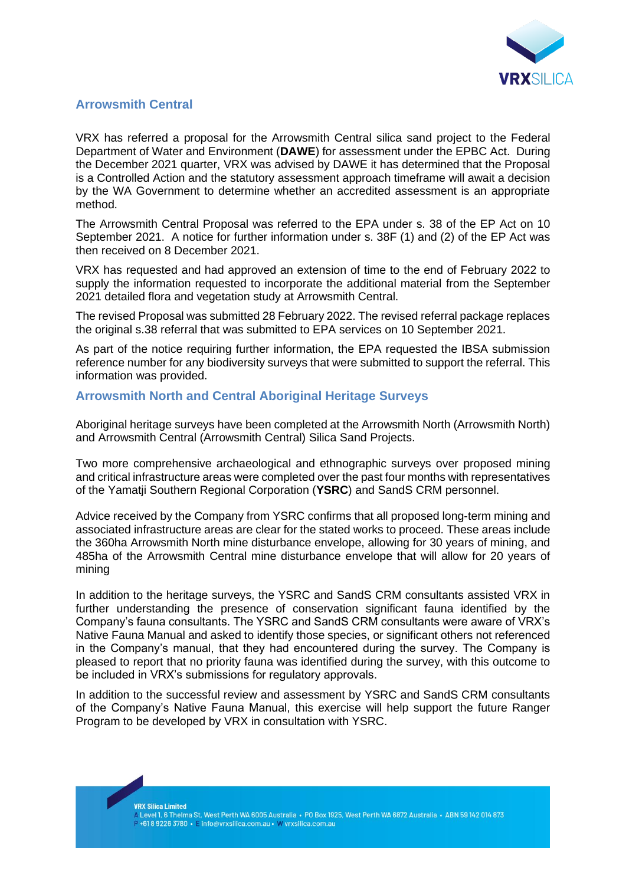

## **Arrowsmith Central**

VRX has referred a proposal for the Arrowsmith Central silica sand project to the Federal Department of Water and Environment (**DAWE**) for assessment under the EPBC Act. During the December 2021 quarter, VRX was advised by DAWE it has determined that the Proposal is a Controlled Action and the statutory assessment approach timeframe will await a decision by the WA Government to determine whether an accredited assessment is an appropriate method.

The Arrowsmith Central Proposal was referred to the EPA under s. 38 of the EP Act on 10 September 2021. A notice for further information under s. 38F (1) and (2) of the EP Act was then received on 8 December 2021.

VRX has requested and had approved an extension of time to the end of February 2022 to supply the information requested to incorporate the additional material from the September 2021 detailed flora and vegetation study at Arrowsmith Central.

The revised Proposal was submitted 28 February 2022. The revised referral package replaces the original s.38 referral that was submitted to EPA services on 10 September 2021.

As part of the notice requiring further information, the EPA requested the IBSA submission reference number for any biodiversity surveys that were submitted to support the referral. This information was provided.

## **Arrowsmith North and Central Aboriginal Heritage Surveys**

Aboriginal heritage surveys have been completed at the Arrowsmith North (Arrowsmith North) and Arrowsmith Central (Arrowsmith Central) Silica Sand Projects.

Two more comprehensive archaeological and ethnographic surveys over proposed mining and critical infrastructure areas were completed over the past four months with representatives of the Yamatji Southern Regional Corporation (**YSRC**) and SandS CRM personnel.

Advice received by the Company from YSRC confirms that all proposed long-term mining and associated infrastructure areas are clear for the stated works to proceed. These areas include the 360ha Arrowsmith North mine disturbance envelope, allowing for 30 years of mining, and 485ha of the Arrowsmith Central mine disturbance envelope that will allow for 20 years of mining

In addition to the heritage surveys, the YSRC and SandS CRM consultants assisted VRX in further understanding the presence of conservation significant fauna identified by the Company's fauna consultants. The YSRC and SandS CRM consultants were aware of VRX's Native Fauna Manual and asked to identify those species, or significant others not referenced in the Company's manual, that they had encountered during the survey. The Company is pleased to report that no priority fauna was identified during the survey, with this outcome to be included in VRX's submissions for regulatory approvals.

In addition to the successful review and assessment by YSRC and SandS CRM consultants of the Company's Native Fauna Manual, this exercise will help support the future Ranger Program to be developed by VRX in consultation with YSRC.

**VRX Silica Limited**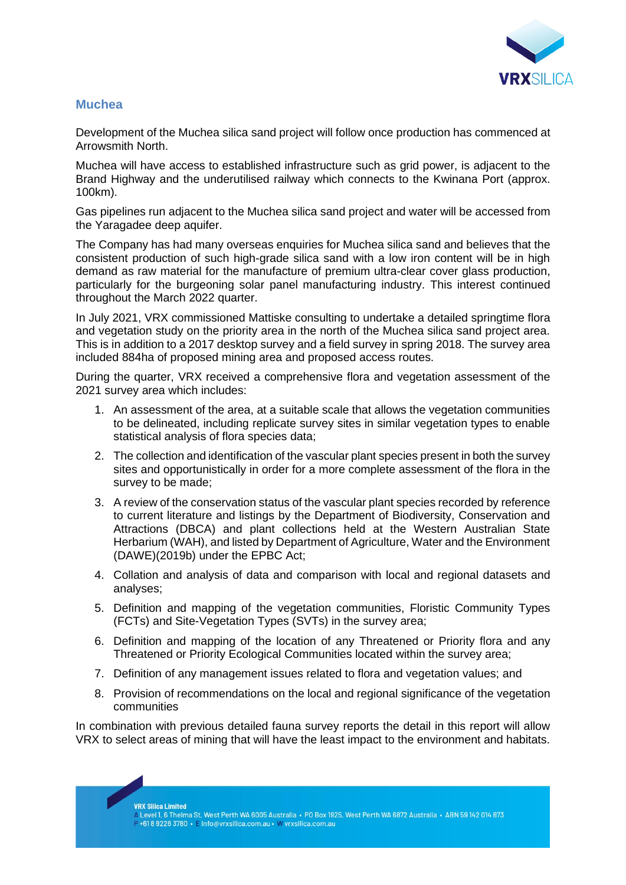

## **Muchea**

Development of the Muchea silica sand project will follow once production has commenced at Arrowsmith North.

Muchea will have access to established infrastructure such as grid power, is adjacent to the Brand Highway and the underutilised railway which connects to the Kwinana Port (approx. 100km).

Gas pipelines run adjacent to the Muchea silica sand project and water will be accessed from the Yaragadee deep aquifer.

The Company has had many overseas enquiries for Muchea silica sand and believes that the consistent production of such high-grade silica sand with a low iron content will be in high demand as raw material for the manufacture of premium ultra-clear cover glass production, particularly for the burgeoning solar panel manufacturing industry. This interest continued throughout the March 2022 quarter.

In July 2021, VRX commissioned Mattiske consulting to undertake a detailed springtime flora and vegetation study on the priority area in the north of the Muchea silica sand project area. This is in addition to a 2017 desktop survey and a field survey in spring 2018. The survey area included 884ha of proposed mining area and proposed access routes.

During the quarter, VRX received a comprehensive flora and vegetation assessment of the 2021 survey area which includes:

- 1. An assessment of the area, at a suitable scale that allows the vegetation communities to be delineated, including replicate survey sites in similar vegetation types to enable statistical analysis of flora species data;
- 2. The collection and identification of the vascular plant species present in both the survey sites and opportunistically in order for a more complete assessment of the flora in the survey to be made;
- 3. A review of the conservation status of the vascular plant species recorded by reference to current literature and listings by the Department of Biodiversity, Conservation and Attractions (DBCA) and plant collections held at the Western Australian State Herbarium (WAH), and listed by Department of Agriculture, Water and the Environment (DAWE)(2019b) under the EPBC Act;
- 4. Collation and analysis of data and comparison with local and regional datasets and analyses;
- 5. Definition and mapping of the vegetation communities, Floristic Community Types (FCTs) and Site-Vegetation Types (SVTs) in the survey area;
- 6. Definition and mapping of the location of any Threatened or Priority flora and any Threatened or Priority Ecological Communities located within the survey area;
- 7. Definition of any management issues related to flora and vegetation values; and
- 8. Provision of recommendations on the local and regional significance of the vegetation communities

In combination with previous detailed fauna survey reports the detail in this report will allow VRX to select areas of mining that will have the least impact to the environment and habitats.

**VRX Silica Limited**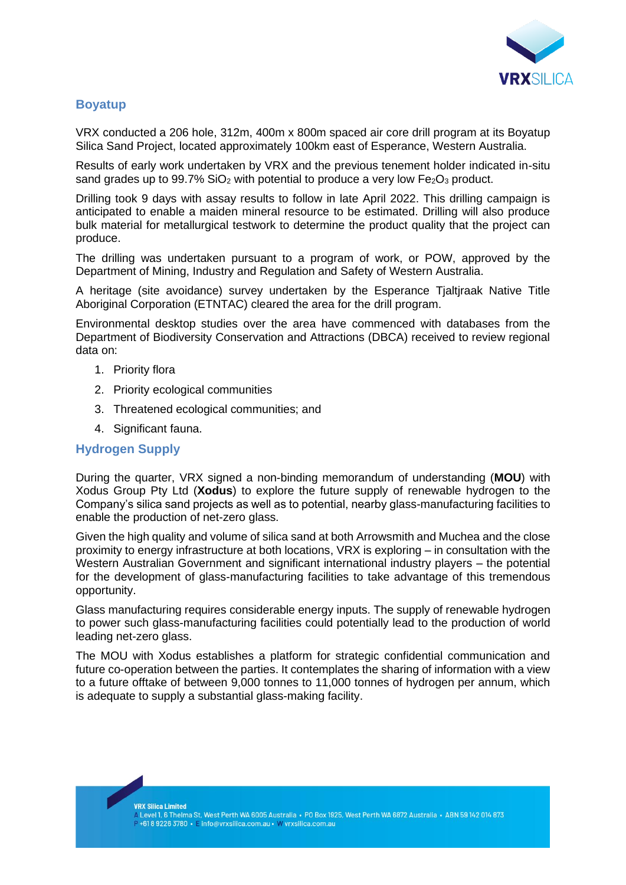

## **Boyatup**

VRX conducted a 206 hole, 312m, 400m x 800m spaced air core drill program at its Boyatup Silica Sand Project, located approximately 100km east of Esperance, Western Australia.

Results of early work undertaken by VRX and the previous tenement holder indicated in-situ sand grades up to 99.7%  $SiO<sub>2</sub>$  with potential to produce a very low Fe<sub>2</sub>O<sub>3</sub> product.

Drilling took 9 days with assay results to follow in late April 2022. This drilling campaign is anticipated to enable a maiden mineral resource to be estimated. Drilling will also produce bulk material for metallurgical testwork to determine the product quality that the project can produce.

The drilling was undertaken pursuant to a program of work, or POW, approved by the Department of Mining, Industry and Regulation and Safety of Western Australia.

A heritage (site avoidance) survey undertaken by the Esperance Tjaltjraak Native Title Aboriginal Corporation (ETNTAC) cleared the area for the drill program.

Environmental desktop studies over the area have commenced with databases from the Department of Biodiversity Conservation and Attractions (DBCA) received to review regional data on:

- 1. Priority flora
- 2. Priority ecological communities
- 3. Threatened ecological communities; and
- 4. Significant fauna.

## **Hydrogen Supply**

During the quarter, VRX signed a non-binding memorandum of understanding (**MOU**) with Xodus Group Pty Ltd (**Xodus**) to explore the future supply of renewable hydrogen to the Company's silica sand projects as well as to potential, nearby glass-manufacturing facilities to enable the production of net-zero glass.

Given the high quality and volume of silica sand at both Arrowsmith and Muchea and the close proximity to energy infrastructure at both locations, VRX is exploring – in consultation with the Western Australian Government and significant international industry players – the potential for the development of glass-manufacturing facilities to take advantage of this tremendous opportunity.

Glass manufacturing requires considerable energy inputs. The supply of renewable hydrogen to power such glass-manufacturing facilities could potentially lead to the production of world leading net-zero glass.

The MOU with Xodus establishes a platform for strategic confidential communication and future co-operation between the parties. It contemplates the sharing of information with a view to a future offtake of between 9,000 tonnes to 11,000 tonnes of hydrogen per annum, which is adequate to supply a substantial glass-making facility.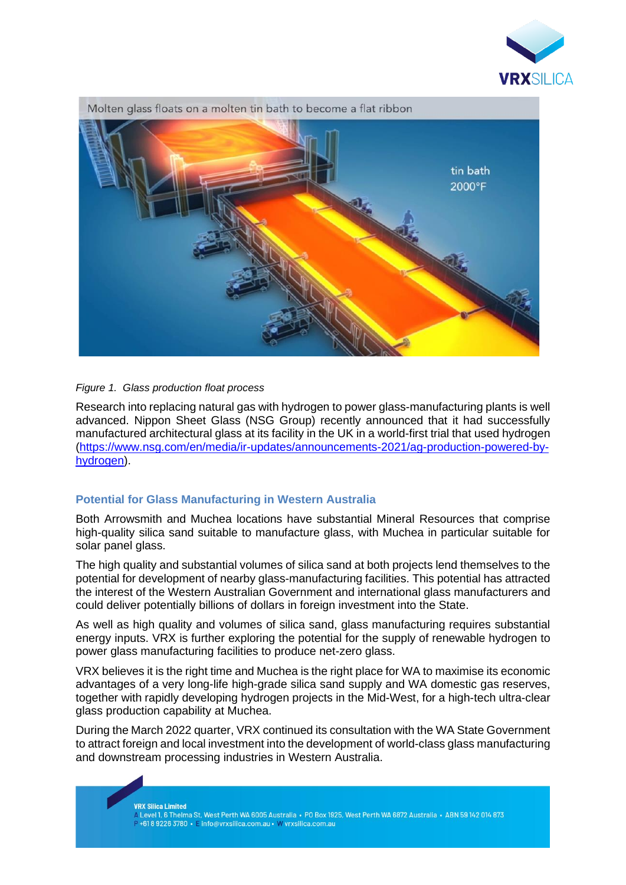



#### *Figure 1. Glass production float process*

Research into replacing natural gas with hydrogen to power glass-manufacturing plants is well advanced. Nippon Sheet Glass (NSG Group) recently announced that it had successfully manufactured architectural glass at its facility in the UK in a world-first trial that used hydrogen [\(https://www.nsg.com/en/media/ir-updates/announcements-2021/ag-production-powered-by](https://www.nsg.com/en/media/ir-updates/announcements-2021/ag-production-powered-by-hydrogen)[hydrogen\)](https://www.nsg.com/en/media/ir-updates/announcements-2021/ag-production-powered-by-hydrogen).

#### **Potential for Glass Manufacturing in Western Australia**

Both Arrowsmith and Muchea locations have substantial Mineral Resources that comprise high-quality silica sand suitable to manufacture glass, with Muchea in particular suitable for solar panel glass.

The high quality and substantial volumes of silica sand at both projects lend themselves to the potential for development of nearby glass-manufacturing facilities. This potential has attracted the interest of the Western Australian Government and international glass manufacturers and could deliver potentially billions of dollars in foreign investment into the State.

As well as high quality and volumes of silica sand, glass manufacturing requires substantial energy inputs. VRX is further exploring the potential for the supply of renewable hydrogen to power glass manufacturing facilities to produce net-zero glass.

VRX believes it is the right time and Muchea is the right place for WA to maximise its economic advantages of a very long-life high-grade silica sand supply and WA domestic gas reserves, together with rapidly developing hydrogen projects in the Mid-West, for a high-tech ultra-clear glass production capability at Muchea.

During the March 2022 quarter, VRX continued its consultation with the WA State Government to attract foreign and local investment into the development of world-class glass manufacturing and downstream processing industries in Western Australia.

**VRX Silica Limited** 

.<br>A Level 1, 6 Thelma St, West Perth WA 6005 Australia • PO Box 1925, West Perth WA 6872 Australia • ABN 59 142 014 873 +61892263780 • Einfo@vrxsilica.com.au • W vrxsilica.com.au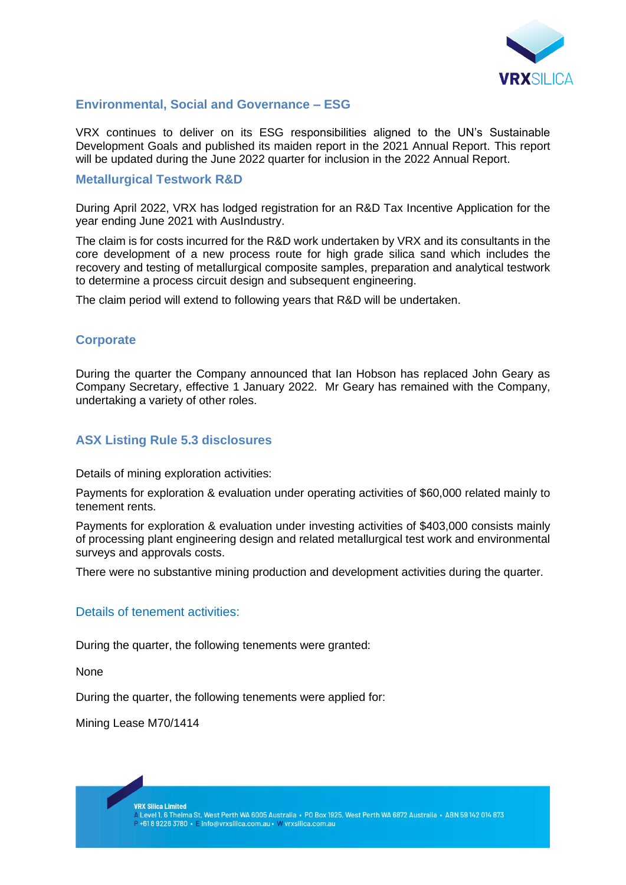

## **Environmental, Social and Governance – ESG**

VRX continues to deliver on its ESG responsibilities aligned to the UN's Sustainable Development Goals and published its maiden report in the 2021 Annual Report. This report will be updated during the June 2022 quarter for inclusion in the 2022 Annual Report.

#### **Metallurgical Testwork R&D**

During April 2022, VRX has lodged registration for an R&D Tax Incentive Application for the year ending June 2021 with AusIndustry.

The claim is for costs incurred for the R&D work undertaken by VRX and its consultants in the core development of a new process route for high grade silica sand which includes the recovery and testing of metallurgical composite samples, preparation and analytical testwork to determine a process circuit design and subsequent engineering.

The claim period will extend to following years that R&D will be undertaken.

## **Corporate**

During the quarter the Company announced that Ian Hobson has replaced John Geary as Company Secretary, effective 1 January 2022. Mr Geary has remained with the Company, undertaking a variety of other roles.

## **ASX Listing Rule 5.3 disclosures**

Details of mining exploration activities:

Payments for exploration & evaluation under operating activities of \$60,000 related mainly to tenement rents.

Payments for exploration & evaluation under investing activities of \$403,000 consists mainly of processing plant engineering design and related metallurgical test work and environmental surveys and approvals costs.

There were no substantive mining production and development activities during the quarter.

## Details of tenement activities:

During the quarter, the following tenements were granted:

None

During the quarter, the following tenements were applied for:

Mining Lease M70/1414

**VRX Silica Limited**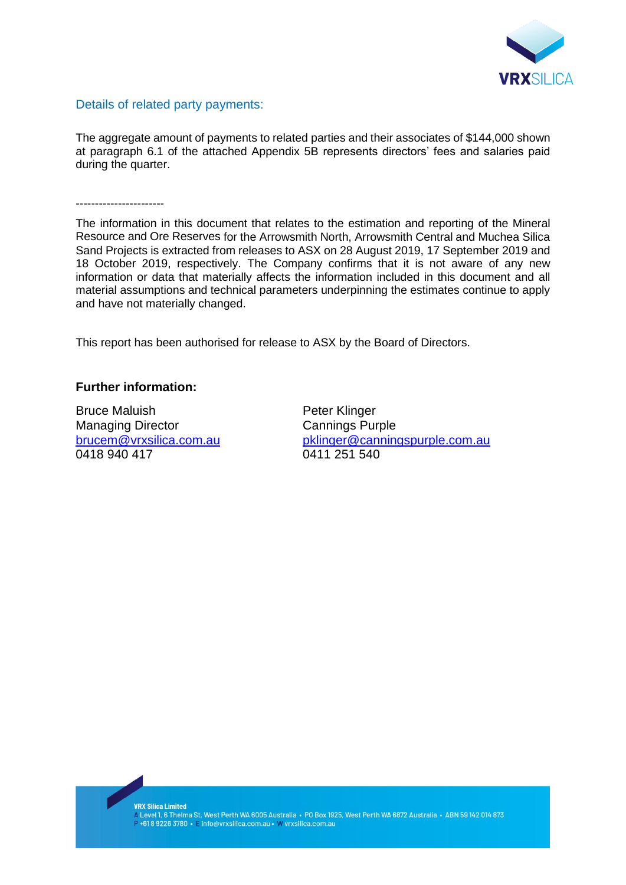

## Details of related party payments:

The aggregate amount of payments to related parties and their associates of \$144,000 shown at paragraph 6.1 of the attached Appendix 5B represents directors' fees and salaries paid during the quarter.

-----------------------

The information in this document that relates to the estimation and reporting of the Mineral Resource and Ore Reserves for the Arrowsmith North, Arrowsmith Central and Muchea Silica Sand Projects is extracted from releases to ASX on 28 August 2019, 17 September 2019 and 18 October 2019, respectively. The Company confirms that it is not aware of any new information or data that materially affects the information included in this document and all material assumptions and technical parameters underpinning the estimates continue to apply and have not materially changed.

This report has been authorised for release to ASX by the Board of Directors.

## **Further information:**

Bruce Maluish **Peter Klinger** Managing Director **Cannings Purple** 0418 940 417 0411 251 540

[brucem@vrxsilica.com.au](mailto:brucem@vrxsilica.com.au) [pklinger@canningspurple.com.au](mailto:pklinger@canningspurple.com.au)

**VRX Silica Limited** 

vica Silica Elffilieu<br>A Level 1, 6 Thelma St, West Perth WA 6005 Australia • PO Box 1925, West Perth WA 6872 Australia • ABN 59 142 014 873<br>P +61 8 9226 3780 • E info@vrxsilica.com.au • W vrxsilica.com.au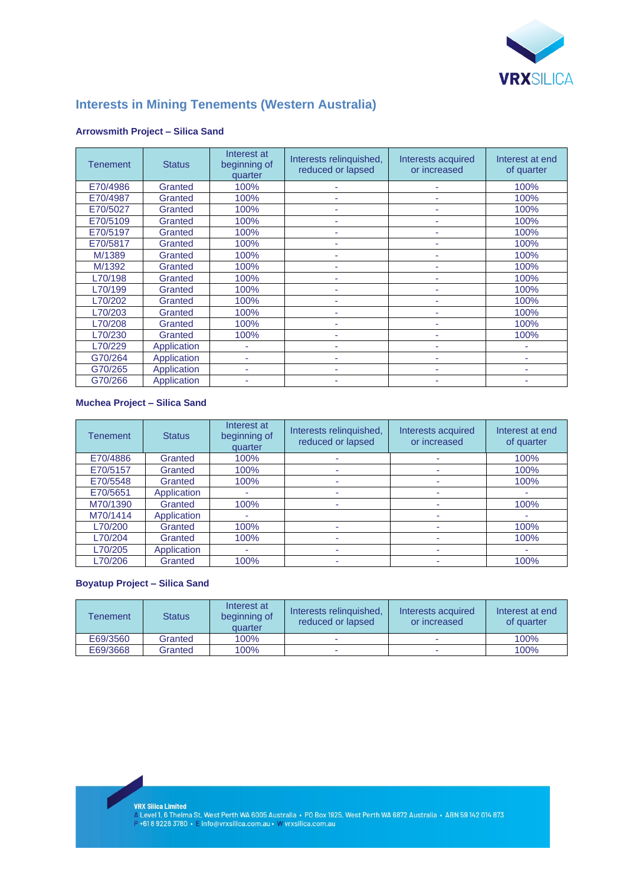

## **Interests in Mining Tenements (Western Australia)**

| <b>Tenement</b> | <b>Status</b> | Interest at<br>beginning of<br>quarter | Interests relinquished,<br>reduced or lapsed | Interests acquired<br>or increased | Interest at end<br>of quarter |
|-----------------|---------------|----------------------------------------|----------------------------------------------|------------------------------------|-------------------------------|
| E70/4986        | Granted       | 100%                                   |                                              |                                    | 100%                          |
| E70/4987        | Granted       | 100%                                   | ٠                                            | ۰                                  | 100%                          |
| E70/5027        | Granted       | 100%                                   |                                              |                                    | 100%                          |
| E70/5109        | Granted       | 100%                                   | ۰                                            |                                    | 100%                          |
| E70/5197        | Granted       | 100%                                   | ۰                                            |                                    | 100%                          |
| E70/5817        | Granted       | 100%                                   | ٠                                            | ٠                                  | 100%                          |
| M/1389          | Granted       | 100%                                   | ٠                                            |                                    | 100%                          |
| M/1392          | Granted       | 100%                                   | ٠                                            |                                    | 100%                          |
| L70/198         | Granted       | 100%                                   |                                              |                                    | 100%                          |
| L70/199         | Granted       | 100%                                   | ۰                                            |                                    | 100%                          |
| L70/202         | Granted       | 100%                                   | ٠                                            | ۰                                  | 100%                          |
| L70/203         | Granted       | 100%                                   |                                              |                                    | 100%                          |
| L70/208         | Granted       | 100%                                   |                                              |                                    | 100%                          |
| L70/230         | Granted       | 100%                                   |                                              |                                    | 100%                          |
| L70/229         | Application   | ٠                                      | ۰                                            |                                    | ۰                             |
| G70/264         | Application   | ۰                                      | ۰                                            |                                    | ۰                             |
| G70/265         | Application   | ۰                                      | ۰                                            |                                    | ۰                             |
| G70/266         | Application   |                                        |                                              |                                    |                               |

#### **Arrowsmith Project – Silica Sand**

#### **Muchea Project – Silica Sand**

| Tenement | <b>Status</b> | Interest at<br>beginning of<br>quarter | Interests relinquished,<br>reduced or lapsed | Interests acquired<br>or increased | Interest at end<br>of quarter |
|----------|---------------|----------------------------------------|----------------------------------------------|------------------------------------|-------------------------------|
| E70/4886 | Granted       | 100%                                   |                                              | ۰                                  | 100%                          |
| E70/5157 | Granted       | 100%                                   |                                              |                                    | 100%                          |
| E70/5548 | Granted       | 100%                                   |                                              |                                    | 100%                          |
| E70/5651 | Application   |                                        |                                              | ۰                                  | ۰                             |
| M70/1390 | Granted       | 100%                                   |                                              |                                    | 100%                          |
| M70/1414 | Application   |                                        |                                              |                                    |                               |
| L70/200  | Granted       | 100%                                   |                                              | ۰                                  | 100%                          |
| L70/204  | Granted       | 100%                                   |                                              |                                    | 100%                          |
| L70/205  | Application   | ۰                                      |                                              |                                    | ۰                             |
| L70/206  | Granted       | 100%                                   |                                              |                                    | 100%                          |

#### **Boyatup Project – Silica Sand**

| <b>Fenement</b> | <b>Status</b> | Interest at<br>beginning of<br>quarter | Interests relinguished.<br>reduced or lapsed | Interests acquired<br>or increased | Interest at end<br>of quarter |
|-----------------|---------------|----------------------------------------|----------------------------------------------|------------------------------------|-------------------------------|
| E69/3560        | Granted       | 100%                                   | -                                            |                                    | 100%                          |
| E69/3668        | Granted       | 100%                                   |                                              |                                    | 100%                          |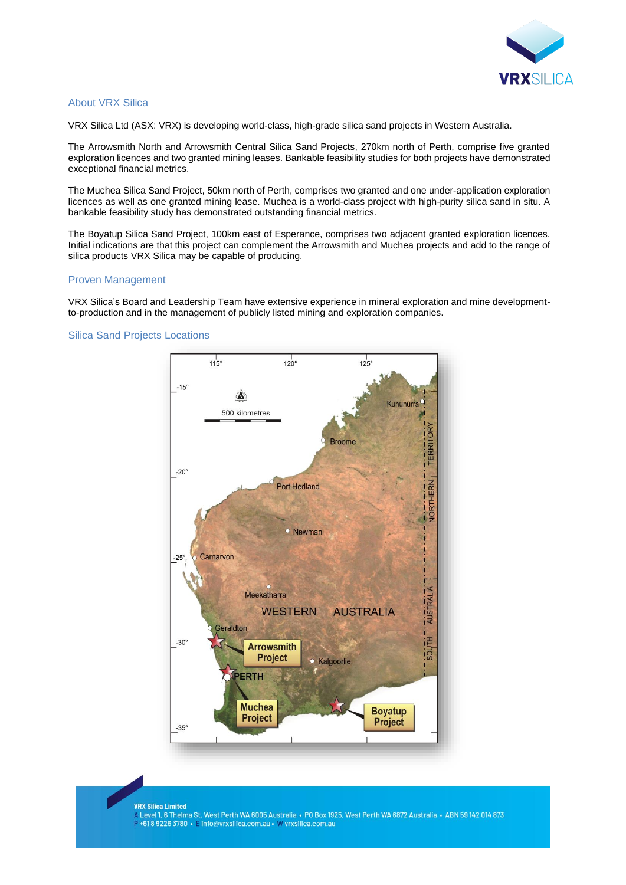

#### About VRX Silica

VRX Silica Ltd (ASX: VRX) is developing world-class, high-grade silica sand projects in Western Australia.

The Arrowsmith North and Arrowsmith Central Silica Sand Projects, 270km north of Perth, comprise five granted exploration licences and two granted mining leases. Bankable feasibility studies for both projects have demonstrated exceptional financial metrics.

The Muchea Silica Sand Project, 50km north of Perth, comprises two granted and one under-application exploration licences as well as one granted mining lease. Muchea is a world-class project with high-purity silica sand in situ. A bankable feasibility study has demonstrated outstanding financial metrics.

The Boyatup Silica Sand Project, 100km east of Esperance, comprises two adjacent granted exploration licences. Initial indications are that this project can complement the Arrowsmith and Muchea projects and add to the range of silica products VRX Silica may be capable of producing.

#### Proven Management

VRX Silica's Board and Leadership Team have extensive experience in mineral exploration and mine developmentto-production and in the management of publicly listed mining and exploration companies.

#### Silica Sand Projects Locations



#### **VRX Silica Limited**

A Level 1, 6 Thelma St, West Perth WA 6005 Australia • PO Box 1925, West Perth WA 6872 Australia • ABN 59 142 014 873 P+61892263780 • E info@vrxsilica.com.au • W vrxsilica.com.au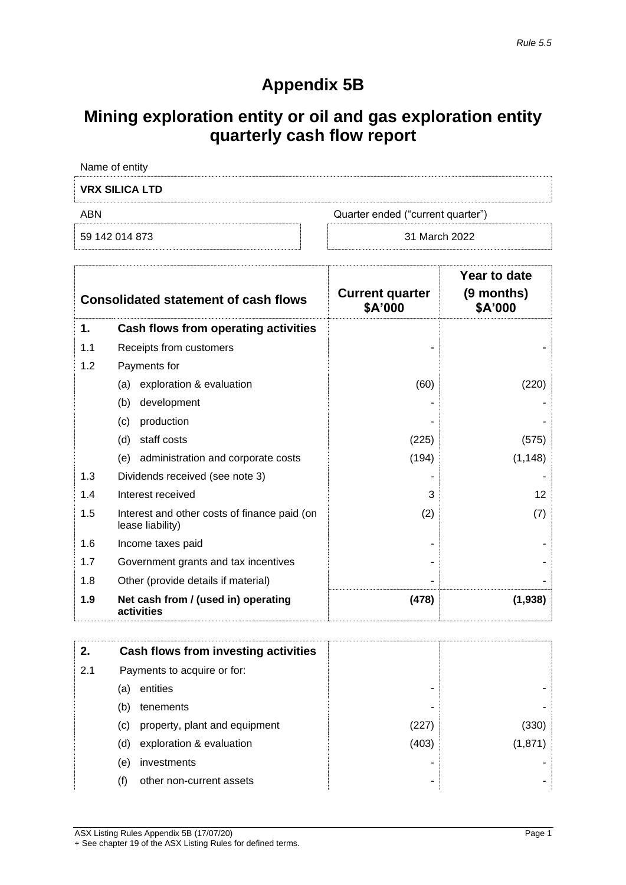# **Appendix 5B**

# **Mining exploration entity or oil and gas exploration entity quarterly cash flow report**

| Name of entity        |                                   |
|-----------------------|-----------------------------------|
| <b>VRX SILICA LTD</b> |                                   |
| ABN                   | Quarter ended ("current quarter") |
| 59 142 014 873        | 31 March 2022                     |

|     | <b>Consolidated statement of cash flows</b>                      | <b>Current quarter</b><br>\$A'000 | Year to date<br>(9 months)<br>\$A'000 |
|-----|------------------------------------------------------------------|-----------------------------------|---------------------------------------|
| 1.  | Cash flows from operating activities                             |                                   |                                       |
| 1.1 | Receipts from customers                                          |                                   |                                       |
| 1.2 | Payments for                                                     |                                   |                                       |
|     | exploration & evaluation<br>(a)                                  | (60)                              | (220)                                 |
|     | development<br>(b)                                               |                                   |                                       |
|     | (c)<br>production                                                |                                   |                                       |
|     | (d)<br>staff costs                                               | (225)                             | (575)                                 |
|     | administration and corporate costs<br>(e)                        | (194)                             | (1, 148)                              |
| 1.3 | Dividends received (see note 3)                                  |                                   |                                       |
| 1.4 | Interest received                                                | 3                                 | 12                                    |
| 1.5 | Interest and other costs of finance paid (on<br>lease liability) | (2)                               | (7)                                   |
| 1.6 | Income taxes paid                                                |                                   |                                       |
| 1.7 | Government grants and tax incentives                             |                                   |                                       |
| 1.8 | Other (provide details if material)                              |                                   |                                       |
| 1.9 | Net cash from / (used in) operating<br>activities                | (478)                             | (1,938)                               |

| 2.  |     | Cash flows from investing activities |       |         |
|-----|-----|--------------------------------------|-------|---------|
| 2.1 |     | Payments to acquire or for:          |       |         |
|     | (a) | entities                             | -     |         |
|     | (b) | tenements                            | ۰     |         |
|     | (C) | property, plant and equipment        | (227) | (330)   |
|     | (d) | exploration & evaluation             | (403) | (1,871) |
|     | (e) | investments                          |       |         |
|     | (f) | other non-current assets             | ۰     |         |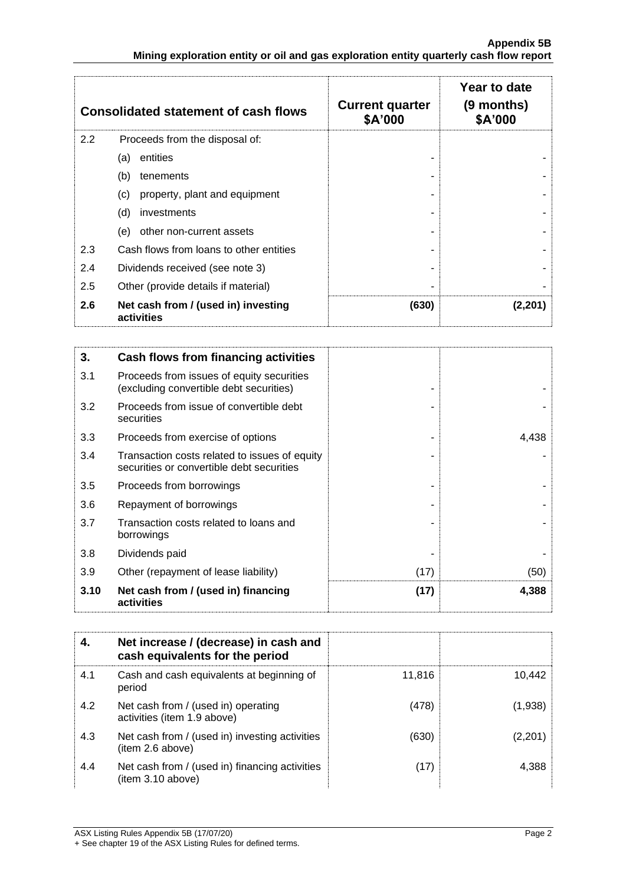|     | <b>Consolidated statement of cash flows</b>       | <b>Current quarter</b><br>\$A'000 | Year to date<br>(9 months)<br>\$A'000 |
|-----|---------------------------------------------------|-----------------------------------|---------------------------------------|
| 2.2 | Proceeds from the disposal of:                    |                                   |                                       |
|     | entities<br>(a)                                   |                                   |                                       |
|     | (b)<br>tenements                                  |                                   |                                       |
|     | property, plant and equipment<br>(c)              |                                   |                                       |
|     | (d)<br>investments                                |                                   |                                       |
|     | other non-current assets<br>(e)                   |                                   |                                       |
| 2.3 | Cash flows from loans to other entities           |                                   |                                       |
| 2.4 | Dividends received (see note 3)                   |                                   |                                       |
| 2.5 | Other (provide details if material)               |                                   |                                       |
| 2.6 | Net cash from / (used in) investing<br>activities | (630)                             | (2,201)                               |

| 3.   | Cash flows from financing activities                                                       |      |       |
|------|--------------------------------------------------------------------------------------------|------|-------|
| 3.1  | Proceeds from issues of equity securities<br>(excluding convertible debt securities)       |      |       |
| 3.2  | Proceeds from issue of convertible debt<br>securities                                      |      |       |
| 3.3  | Proceeds from exercise of options                                                          |      | 4,438 |
| 3.4  | Transaction costs related to issues of equity<br>securities or convertible debt securities |      |       |
| 3.5  | Proceeds from borrowings                                                                   |      |       |
| 3.6  | Repayment of borrowings                                                                    |      |       |
| 3.7  | Transaction costs related to loans and<br>borrowings                                       |      |       |
| 3.8  | Dividends paid                                                                             |      |       |
| 3.9  | Other (repayment of lease liability)                                                       | (17) | (50)  |
| 3.10 | Net cash from / (used in) financing<br>activities                                          | (17) | 4,388 |

| 4.  | Net increase / (decrease) in cash and<br>cash equivalents for the period |        |         |
|-----|--------------------------------------------------------------------------|--------|---------|
| 4.1 | Cash and cash equivalents at beginning of<br>period                      | 11.816 | 10.442  |
| 4.2 | Net cash from / (used in) operating<br>activities (item 1.9 above)       | (478)  | (1,938) |
| 4.3 | Net cash from / (used in) investing activities<br>(item 2.6 above)       | (630)  | (2,201) |
| 4.4 | Net cash from / (used in) financing activities<br>(item 3.10 above)      | (17)   | 4.388   |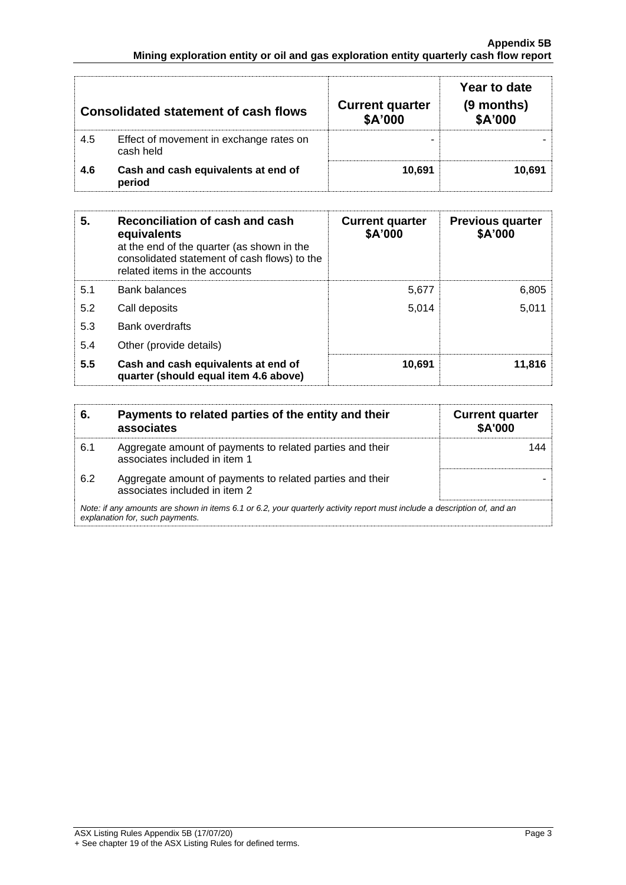|     | <b>Consolidated statement of cash flows</b>          | <b>Current quarter</b><br>\$A'000 | Year to date<br>$(9$ months)<br>\$A'000 |
|-----|------------------------------------------------------|-----------------------------------|-----------------------------------------|
| 4.5 | Effect of movement in exchange rates on<br>cash held |                                   |                                         |
| 4.6 | Cash and cash equivalents at end of<br>period        | 10.691                            | 10.691                                  |

| 5.  | Reconciliation of cash and cash<br>equivalents<br>at the end of the quarter (as shown in the<br>consolidated statement of cash flows) to the<br>related items in the accounts | <b>Current quarter</b><br>\$A'000 | <b>Previous quarter</b><br>\$A'000 |
|-----|-------------------------------------------------------------------------------------------------------------------------------------------------------------------------------|-----------------------------------|------------------------------------|
| 5.1 | <b>Bank balances</b>                                                                                                                                                          | 5,677                             | 6,805                              |
| 5.2 | Call deposits                                                                                                                                                                 | 5,014                             | 5,011                              |
| 5.3 | <b>Bank overdrafts</b>                                                                                                                                                        |                                   |                                    |
| 5.4 | Other (provide details)                                                                                                                                                       |                                   |                                    |
| 5.5 | Cash and cash equivalents at end of<br>quarter (should equal item 4.6 above)                                                                                                  | 10,691                            | 11.816                             |

| 6.  | Payments to related parties of the entity and their<br>associates                                                                                           | <b>Current quarter</b><br><b>\$A'000</b> |
|-----|-------------------------------------------------------------------------------------------------------------------------------------------------------------|------------------------------------------|
| 6.1 | Aggregate amount of payments to related parties and their<br>associates included in item 1                                                                  |                                          |
| 6.2 | Aggregate amount of payments to related parties and their<br>associates included in item 2                                                                  |                                          |
|     | Note: if any amounts are shown in items 6.1 or 6.2, your quarterly activity report must include a description of, and an<br>explanation for, such payments. |                                          |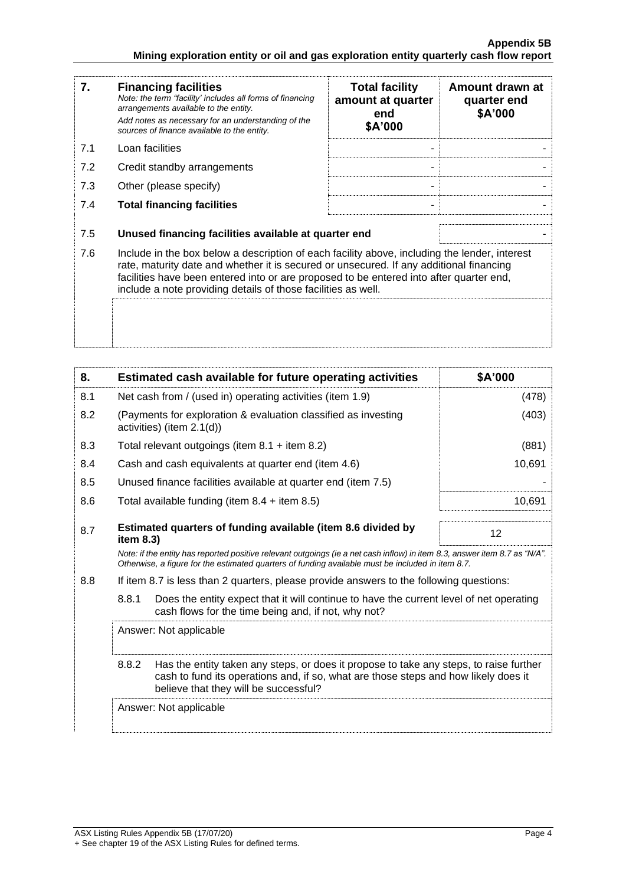| 7.  | <b>Financing facilities</b><br>Note: the term "facility' includes all forms of financing<br>arrangements available to the entity.<br>Add notes as necessary for an understanding of the<br>sources of finance available to the entity.                                                                                                               | <b>Total facility</b><br>amount at quarter<br>end<br>\$A'000 | Amount drawn at<br>quarter end<br>\$A'000 |
|-----|------------------------------------------------------------------------------------------------------------------------------------------------------------------------------------------------------------------------------------------------------------------------------------------------------------------------------------------------------|--------------------------------------------------------------|-------------------------------------------|
| 7.1 | Loan facilities                                                                                                                                                                                                                                                                                                                                      |                                                              |                                           |
| 7.2 | Credit standby arrangements                                                                                                                                                                                                                                                                                                                          |                                                              |                                           |
| 7.3 | Other (please specify)                                                                                                                                                                                                                                                                                                                               |                                                              |                                           |
| 7.4 | <b>Total financing facilities</b>                                                                                                                                                                                                                                                                                                                    |                                                              |                                           |
| 7.5 | Unused financing facilities available at quarter end                                                                                                                                                                                                                                                                                                 |                                                              |                                           |
| 7.6 | Include in the box below a description of each facility above, including the lender, interest<br>rate, maturity date and whether it is secured or unsecured. If any additional financing<br>facilities have been entered into or are proposed to be entered into after quarter end,<br>include a note providing details of those facilities as well. |                                                              |                                           |
|     |                                                                                                                                                                                                                                                                                                                                                      |                                                              |                                           |

| 8.  | Estimated cash available for future operating activities                                                                                                                                                                        | \$A'000 |  |
|-----|---------------------------------------------------------------------------------------------------------------------------------------------------------------------------------------------------------------------------------|---------|--|
| 8.1 | Net cash from / (used in) operating activities (item 1.9)                                                                                                                                                                       | (478)   |  |
| 8.2 | (Payments for exploration & evaluation classified as investing<br>activities) (item 2.1(d))                                                                                                                                     | (403)   |  |
| 8.3 | Total relevant outgoings (item $8.1 +$ item $8.2$ )                                                                                                                                                                             | (881)   |  |
| 8.4 | Cash and cash equivalents at quarter end (item 4.6)                                                                                                                                                                             | 10,691  |  |
| 8.5 | Unused finance facilities available at quarter end (item 7.5)                                                                                                                                                                   |         |  |
| 8.6 | Total available funding (item $8.4 +$ item $8.5$ )                                                                                                                                                                              | 10,691  |  |
| 8.7 | Estimated quarters of funding available (item 8.6 divided by<br>item $8.3$ )                                                                                                                                                    | 12      |  |
|     | Note: if the entity has reported positive relevant outgoings (ie a net cash inflow) in item 8.3, answer item 8.7 as "N/A".<br>Otherwise, a figure for the estimated quarters of funding available must be included in item 8.7. |         |  |
| 8.8 | If item 8.7 is less than 2 quarters, please provide answers to the following questions:                                                                                                                                         |         |  |
|     | 8.8.1<br>Does the entity expect that it will continue to have the current level of net operating<br>cash flows for the time being and, if not, why not?                                                                         |         |  |
|     | Answer: Not applicable                                                                                                                                                                                                          |         |  |
|     | 8.8.2<br>Has the entity taken any steps, or does it propose to take any steps, to raise further<br>cash to fund its operations and, if so, what are those steps and how likely does it<br>believe that they will be successful? |         |  |
|     | Answer: Not applicable                                                                                                                                                                                                          |         |  |
|     |                                                                                                                                                                                                                                 |         |  |